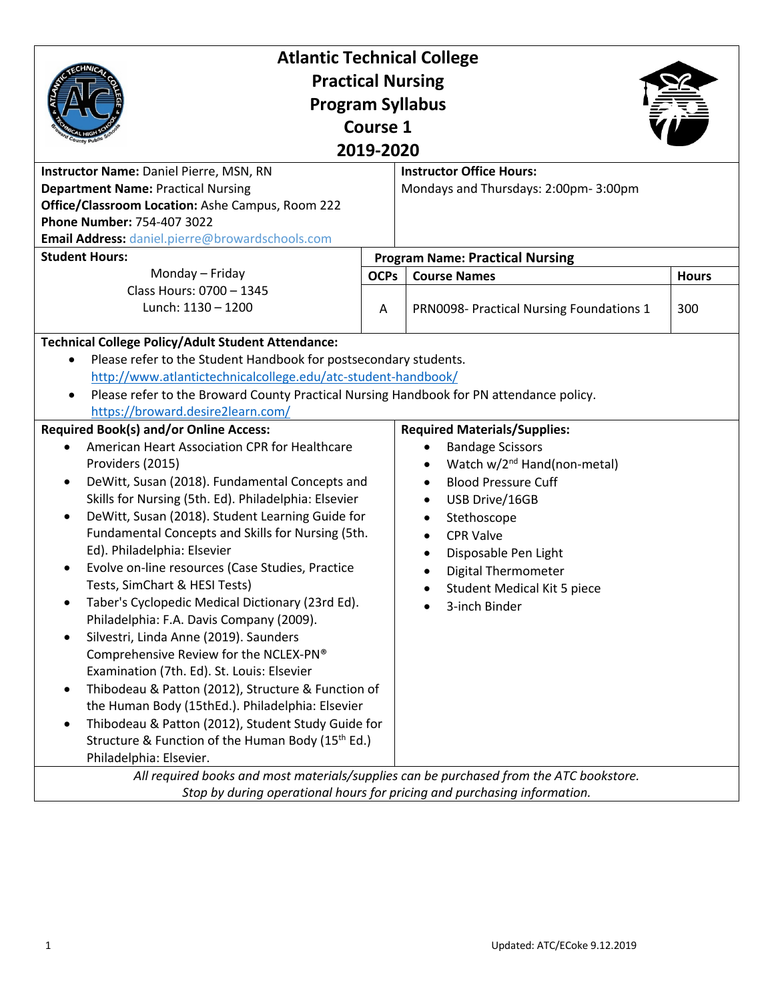| <b>Atlantic Technical College</b>                                                                 |                                                                          |                                          |              |  |  |
|---------------------------------------------------------------------------------------------------|--------------------------------------------------------------------------|------------------------------------------|--------------|--|--|
| <b>Practical Nursing</b>                                                                          |                                                                          |                                          |              |  |  |
| <b>Program Syllabus</b>                                                                           |                                                                          |                                          |              |  |  |
| <b>Course 1</b>                                                                                   |                                                                          |                                          |              |  |  |
|                                                                                                   |                                                                          |                                          |              |  |  |
| 2019-2020                                                                                         |                                                                          |                                          |              |  |  |
| Instructor Name: Daniel Pierre, MSN, RN                                                           |                                                                          | <b>Instructor Office Hours:</b>          |              |  |  |
| <b>Department Name: Practical Nursing</b>                                                         |                                                                          | Mondays and Thursdays: 2:00pm-3:00pm     |              |  |  |
| Office/Classroom Location: Ashe Campus, Room 222                                                  |                                                                          |                                          |              |  |  |
| Phone Number: 754-407 3022                                                                        |                                                                          |                                          |              |  |  |
| Email Address: daniel.pierre@browardschools.com                                                   |                                                                          |                                          |              |  |  |
| <b>Student Hours:</b><br>Monday - Friday<br>Class Hours: 0700 - 1345                              |                                                                          | <b>Program Name: Practical Nursing</b>   |              |  |  |
|                                                                                                   | <b>OCPs</b>                                                              | <b>Course Names</b>                      | <b>Hours</b> |  |  |
| Lunch: 1130 - 1200                                                                                | A                                                                        | PRN0098- Practical Nursing Foundations 1 | 300          |  |  |
|                                                                                                   |                                                                          |                                          |              |  |  |
| <b>Technical College Policy/Adult Student Attendance:</b>                                         |                                                                          |                                          |              |  |  |
| Please refer to the Student Handbook for postsecondary students.                                  |                                                                          |                                          |              |  |  |
| http://www.atlantictechnicalcollege.edu/atc-student-handbook/                                     |                                                                          |                                          |              |  |  |
| Please refer to the Broward County Practical Nursing Handbook for PN attendance policy.           |                                                                          |                                          |              |  |  |
| https://broward.desire2learn.com/                                                                 |                                                                          |                                          |              |  |  |
| <b>Required Book(s) and/or Online Access:</b>                                                     |                                                                          | <b>Required Materials/Supplies:</b>      |              |  |  |
| American Heart Association CPR for Healthcare<br>$\bullet$<br>Providers (2015)                    |                                                                          | <b>Bandage Scissors</b>                  |              |  |  |
|                                                                                                   |                                                                          | Watch w/2 <sup>nd</sup> Hand(non-metal)  |              |  |  |
| DeWitt, Susan (2018). Fundamental Concepts and<br>$\bullet$                                       |                                                                          | <b>Blood Pressure Cuff</b><br>$\bullet$  |              |  |  |
| Skills for Nursing (5th. Ed). Philadelphia: Elsevier                                              |                                                                          | USB Drive/16GB<br>$\bullet$              |              |  |  |
| DeWitt, Susan (2018). Student Learning Guide for<br>$\bullet$                                     |                                                                          | Stethoscope<br>$\bullet$                 |              |  |  |
| Fundamental Concepts and Skills for Nursing (5th.                                                 |                                                                          | <b>CPR Valve</b><br>$\bullet$            |              |  |  |
| Ed). Philadelphia: Elsevier                                                                       |                                                                          | Disposable Pen Light<br>$\bullet$        |              |  |  |
| Evolve on-line resources (Case Studies, Practice                                                  |                                                                          | <b>Digital Thermometer</b>               |              |  |  |
| Tests, SimChart & HESI Tests)                                                                     |                                                                          | Student Medical Kit 5 piece              |              |  |  |
| Taber's Cyclopedic Medical Dictionary (23rd Ed).<br>٠<br>Philadelphia: F.A. Davis Company (2009). |                                                                          | 3-inch Binder                            |              |  |  |
| Silvestri, Linda Anne (2019). Saunders                                                            |                                                                          |                                          |              |  |  |
| Comprehensive Review for the NCLEX-PN®                                                            |                                                                          |                                          |              |  |  |
| Examination (7th. Ed). St. Louis: Elsevier                                                        |                                                                          |                                          |              |  |  |
| Thibodeau & Patton (2012), Structure & Function of<br>$\bullet$                                   |                                                                          |                                          |              |  |  |
| the Human Body (15thEd.). Philadelphia: Elsevier                                                  |                                                                          |                                          |              |  |  |
| Thibodeau & Patton (2012), Student Study Guide for<br>$\bullet$                                   |                                                                          |                                          |              |  |  |
| Structure & Function of the Human Body (15th Ed.)                                                 |                                                                          |                                          |              |  |  |
| Philadelphia: Elsevier.                                                                           |                                                                          |                                          |              |  |  |
| All required books and most materials/supplies can be purchased from the ATC bookstore.           |                                                                          |                                          |              |  |  |
|                                                                                                   | Stop by during operational hours for pricing and purchasing information. |                                          |              |  |  |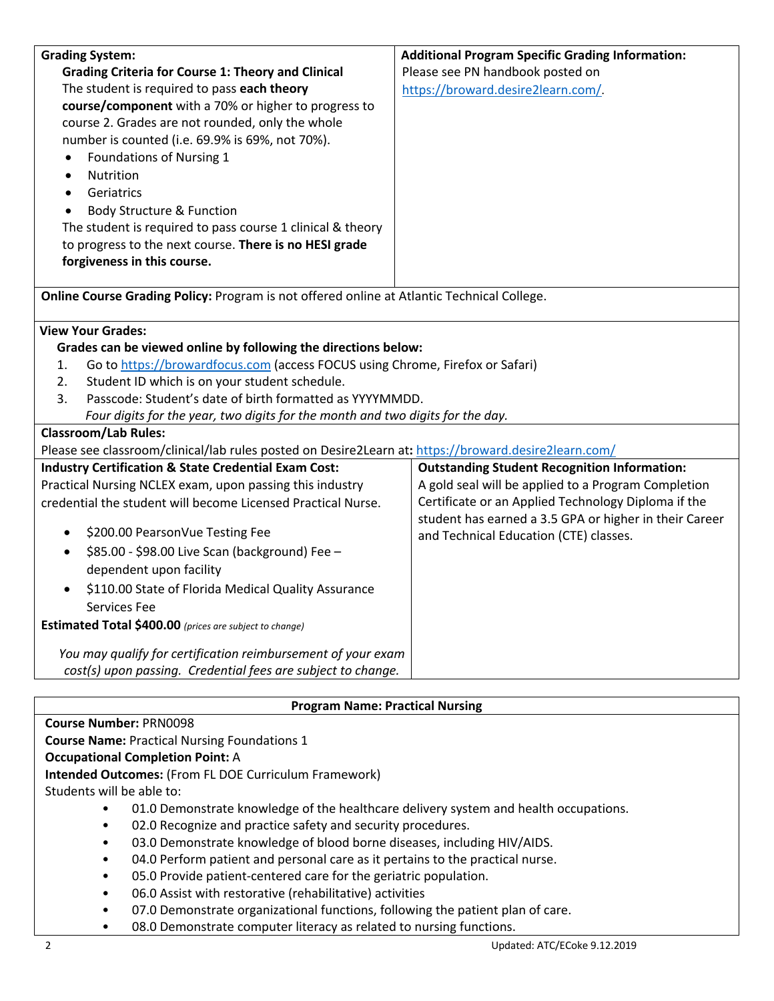| <b>Grading System:</b>                                                                               | <b>Additional Program Specific Grading Information:</b>                                                       |  |  |  |
|------------------------------------------------------------------------------------------------------|---------------------------------------------------------------------------------------------------------------|--|--|--|
| <b>Grading Criteria for Course 1: Theory and Clinical</b>                                            | Please see PN handbook posted on                                                                              |  |  |  |
| The student is required to pass each theory                                                          | https://broward.desire2learn.com/                                                                             |  |  |  |
| course/component with a 70% or higher to progress to                                                 |                                                                                                               |  |  |  |
| course 2. Grades are not rounded, only the whole                                                     |                                                                                                               |  |  |  |
| number is counted (i.e. 69.9% is 69%, not 70%).                                                      |                                                                                                               |  |  |  |
| Foundations of Nursing 1<br>٠<br>Nutrition                                                           |                                                                                                               |  |  |  |
| $\bullet$<br>Geriatrics                                                                              |                                                                                                               |  |  |  |
| $\bullet$                                                                                            |                                                                                                               |  |  |  |
| Body Structure & Function<br>The student is required to pass course 1 clinical & theory              |                                                                                                               |  |  |  |
| to progress to the next course. There is no HESI grade                                               |                                                                                                               |  |  |  |
| forgiveness in this course.                                                                          |                                                                                                               |  |  |  |
|                                                                                                      |                                                                                                               |  |  |  |
| Online Course Grading Policy: Program is not offered online at Atlantic Technical College.           |                                                                                                               |  |  |  |
| <b>View Your Grades:</b>                                                                             |                                                                                                               |  |  |  |
| Grades can be viewed online by following the directions below:                                       |                                                                                                               |  |  |  |
| Go to https://browardfocus.com (access FOCUS using Chrome, Firefox or Safari)<br>1.                  |                                                                                                               |  |  |  |
| Student ID which is on your student schedule.<br>2.                                                  |                                                                                                               |  |  |  |
| Passcode: Student's date of birth formatted as YYYYMMDD.<br>3.                                       |                                                                                                               |  |  |  |
| Four digits for the year, two digits for the month and two digits for the day.                       |                                                                                                               |  |  |  |
| <b>Classroom/Lab Rules:</b>                                                                          |                                                                                                               |  |  |  |
| Please see classroom/clinical/lab rules posted on Desire2Learn at: https://broward.desire2learn.com/ |                                                                                                               |  |  |  |
| <b>Industry Certification &amp; State Credential Exam Cost:</b>                                      | <b>Outstanding Student Recognition Information:</b>                                                           |  |  |  |
| Practical Nursing NCLEX exam, upon passing this industry                                             | A gold seal will be applied to a Program Completion                                                           |  |  |  |
| credential the student will become Licensed Practical Nurse.                                         | Certificate or an Applied Technology Diploma if the<br>student has earned a 3.5 GPA or higher in their Career |  |  |  |
| \$200.00 PearsonVue Testing Fee<br>٠                                                                 | and Technical Education (CTE) classes.                                                                        |  |  |  |
| \$85.00 - \$98.00 Live Scan (background) Fee -<br>٠                                                  |                                                                                                               |  |  |  |
| dependent upon facility                                                                              |                                                                                                               |  |  |  |
| \$110.00 State of Florida Medical Quality Assurance                                                  |                                                                                                               |  |  |  |
| Services Fee                                                                                         |                                                                                                               |  |  |  |
| Estimated Total \$400.00 (prices are subject to change)                                              |                                                                                                               |  |  |  |
| You may qualify for certification reimbursement of your exam                                         |                                                                                                               |  |  |  |
| cost(s) upon passing. Credential fees are subject to change.                                         |                                                                                                               |  |  |  |
|                                                                                                      |                                                                                                               |  |  |  |
| <b>Program Name: Practical Nursing</b>                                                               |                                                                                                               |  |  |  |
| <b>Course Number: PRN0098</b>                                                                        |                                                                                                               |  |  |  |
| <b>Course Name: Practical Nursing Foundations 1</b>                                                  |                                                                                                               |  |  |  |
| <b>Occupational Completion Point: A</b>                                                              |                                                                                                               |  |  |  |
| <b>Intended Outcomes: (From FL DOE Curriculum Framework)</b>                                         |                                                                                                               |  |  |  |
| Students will be able to:                                                                            |                                                                                                               |  |  |  |

- 01.0 Demonstrate knowledge of the healthcare delivery system and health occupations.
- 02.0 Recognize and practice safety and security procedures.
- 03.0 Demonstrate knowledge of blood borne diseases, including HIV/AIDS.
- 04.0 Perform patient and personal care as it pertains to the practical nurse.
- 05.0 Provide patient-centered care for the geriatric population.
- 06.0 Assist with restorative (rehabilitative) activities
- 07.0 Demonstrate organizational functions, following the patient plan of care.
- 08.0 Demonstrate computer literacy as related to nursing functions.